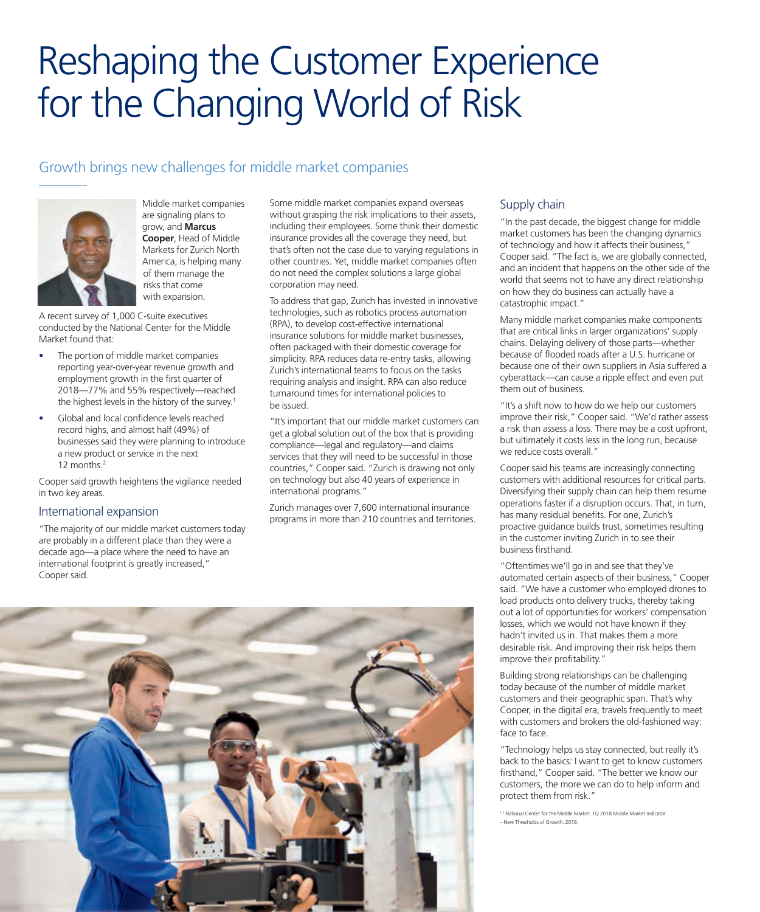# Reshaping the Customer Experience for the Changing World of Risk

## Growth brings new challenges for middle market companies



Middle market companies are signaling plans to grow, and **Marcus Cooper**, Head of Middle Markets for Zurich North America, is helping many of them manage the risks that come with expansion.

A recent survey of 1,000 C-suite executives conducted by the National Center for the Middle Market found that:

- The portion of middle market companies reporting year-over-year revenue growth and employment growth in the first quarter of 2018—77% and 55% respectively—reached the highest levels in the history of the survey.<sup>1</sup>
- Global and local confidence levels reached record highs, and almost half (49%) of businesses said they were planning to introduce a new product or service in the next 12 months.<sup>2</sup>

Cooper said growth heightens the vigilance needed in two key areas.

#### International expansion

"The majority of our middle market customers today are probably in a different place than they were a decade ago—a place where the need to have an international footprint is greatly increased," Cooper said.

Some middle market companies expand overseas without grasping the risk implications to their assets, including their employees. Some think their domestic insurance provides all the coverage they need, but that's often not the case due to varying regulations in other countries. Yet, middle market companies often do not need the complex solutions a large global corporation may need.

To address that gap, Zurich has invested in innovative technologies, such as robotics process automation (RPA), to develop cost-effective international insurance solutions for middle market businesses, often packaged with their domestic coverage for simplicity. RPA reduces data re-entry tasks, allowing Zurich's international teams to focus on the tasks requiring analysis and insight. RPA can also reduce turnaround times for international policies to be issued.

"It's important that our middle market customers can get a global solution out of the box that is providing compliance—legal and regulatory—and claims services that they will need to be successful in those countries," Cooper said. "Zurich is drawing not only on technology but also 40 years of experience in international programs."

Zurich manages over 7,600 international insurance programs in more than 210 countries and territories.

#### Supply chain

"In the past decade, the biggest change for middle market customers has been the changing dynamics of technology and how it affects their business," Cooper said. "The fact is, we are globally connected, and an incident that happens on the other side of the world that seems not to have any direct relationship on how they do business can actually have a catastrophic impact."

Many middle market companies make components that are critical links in larger organizations' supply chains. Delaying delivery of those parts—whether because of flooded roads after a U.S. hurricane or because one of their own suppliers in Asia suffered a cyberattack—can cause a ripple effect and even put them out of business.

"It's a shift now to how do we help our customers improve their risk," Cooper said. "We'd rather assess a risk than assess a loss. There may be a cost upfront, but ultimately it costs less in the long run, because we reduce costs overall."

Cooper said his teams are increasingly connecting customers with additional resources for critical parts. Diversifying their supply chain can help them resume operations faster if a disruption occurs. That, in turn, has many residual benefits. For one, Zurich's proactive guidance builds trust, sometimes resulting in the customer inviting Zurich in to see their business firsthand.

"Oftentimes we'll go in and see that they've automated certain aspects of their business," Cooper said. "We have a customer who employed drones to load products onto delivery trucks, thereby taking out a lot of opportunities for workers' compensation losses, which we would not have known if they hadn't invited us in. That makes them a more desirable risk. And improving their risk helps them improve their profitability."

Building strong relationships can be challenging today because of the number of middle market customers and their geographic span. That's why Cooper, in the digital era, travels frequently to meet with customers and brokers the old-fashioned way: face to face.

"Technology helps us stay connected, but really it's back to the basics: I want to get to know customers firsthand," Cooper said. "The better we know our customers, the more we can do to help inform and protect them from risk."

<sup>1,2</sup> National Center for the Middle Market. 1Q 2018 Middle Market Indicator – New Thresholds of Growth. 2018.

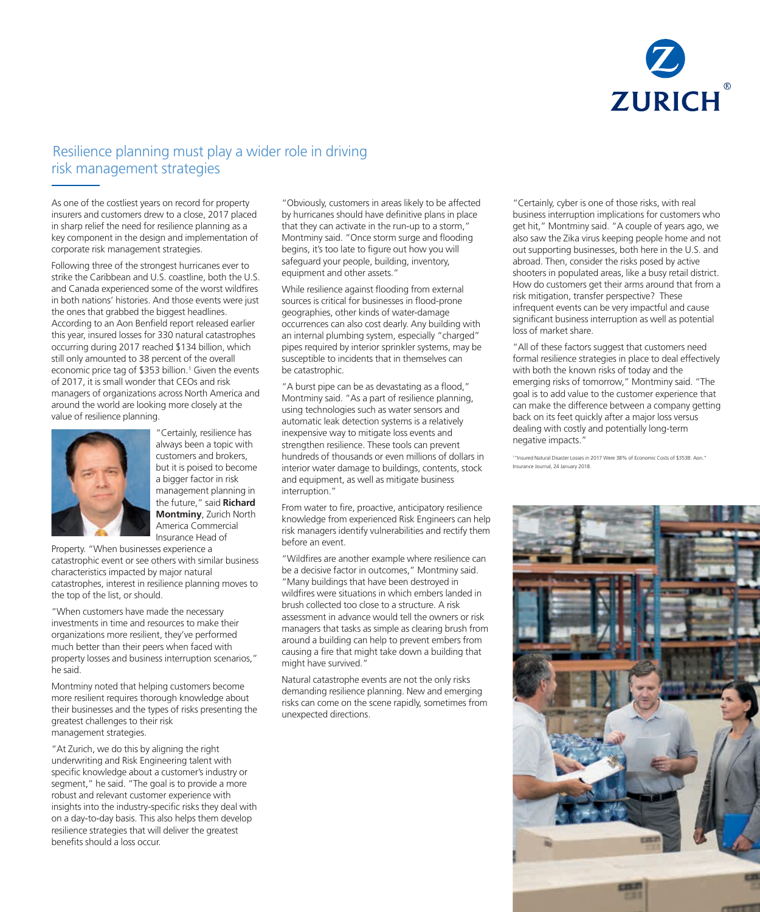

### Resilience planning must play a wider role in driving risk management strategies

As one of the costliest years on record for property insurers and customers drew to a close, 2017 placed in sharp relief the need for resilience planning as a key component in the design and implementation of corporate risk management strategies.

Following three of the strongest hurricanes ever to strike the Caribbean and U.S. coastline, both the U.S. and Canada experienced some of the worst wildfires in both nations' histories. And those events were just the ones that grabbed the biggest headlines. According to an Aon Benfield report released earlier this year, insured losses for 330 natural catastrophes occurring during 2017 reached \$134 billion, which still only amounted to 38 percent of the overall economic price tag of \$353 billion.<sup>1</sup> Given the events of 2017, it is small wonder that CEOs and risk managers of organizations across North America and around the world are looking more closely at the value of resilience planning.



always been a topic with customers and brokers, but it is poised to become a bigger factor in risk management planning in the future," said **Richard Montminy**, Zurich North America Commercial Insurance Head of

"Certainly, resilience has

Property. "When businesses experience a catastrophic event or see others with similar business characteristics impacted by major natural catastrophes, interest in resilience planning moves to the top of the list, or should.

"When customers have made the necessary investments in time and resources to make their organizations more resilient, they've performed much better than their peers when faced with property losses and business interruption scenarios," he said.

Montminy noted that helping customers become more resilient requires thorough knowledge about their businesses and the types of risks presenting the greatest challenges to their risk management strategies.

"At Zurich, we do this by aligning the right underwriting and Risk Engineering talent with specific knowledge about a customer's industry or segment," he said. "The goal is to provide a more robust and relevant customer experience with insights into the industry-specific risks they deal with on a day-to-day basis. This also helps them develop resilience strategies that will deliver the greatest benefits should a loss occur.

"Obviously, customers in areas likely to be affected by hurricanes should have definitive plans in place that they can activate in the run-up to a storm," Montminy said. "Once storm surge and flooding begins, it's too late to figure out how you will safeguard your people, building, inventory, equipment and other assets."

While resilience against flooding from external sources is critical for businesses in flood-prone geographies, other kinds of water-damage occurrences can also cost dearly. Any building with an internal plumbing system, especially "charged" pipes required by interior sprinkler systems, may be susceptible to incidents that in themselves can be catastrophic.

"A burst pipe can be as devastating as a flood," Montminy said. "As a part of resilience planning, using technologies such as water sensors and automatic leak detection systems is a relatively inexpensive way to mitigate loss events and strengthen resilience. These tools can prevent hundreds of thousands or even millions of dollars in interior water damage to buildings, contents, stock and equipment, as well as mitigate business interruption."

From water to fire, proactive, anticipatory resilience knowledge from experienced Risk Engineers can help risk managers identify vulnerabilities and rectify them before an event.

"Wildfires are another example where resilience can be a decisive factor in outcomes," Montminy said. "Many buildings that have been destroyed in wildfires were situations in which embers landed in brush collected too close to a structure. A risk assessment in advance would tell the owners or risk managers that tasks as simple as clearing brush from around a building can help to prevent embers from causing a fire that might take down a building that might have survived."

Natural catastrophe events are not the only risks demanding resilience planning. New and emerging risks can come on the scene rapidly, sometimes from unexpected directions.

"Certainly, cyber is one of those risks, with real business interruption implications for customers who get hit," Montminy said. "A couple of years ago, we also saw the Zika virus keeping people home and not out supporting businesses, both here in the U.S. and abroad. Then, consider the risks posed by active shooters in populated areas, like a busy retail district. How do customers get their arms around that from a risk mitigation, transfer perspective? These infrequent events can be very impactful and cause significant business interruption as well as potential loss of market share.

"All of these factors suggest that customers need formal resilience strategies in place to deal effectively with both the known risks of today and the emerging risks of tomorrow," Montminy said. "The goal is to add value to the customer experience that can make the difference between a company getting back on its feet quickly after a major loss versus dealing with costly and potentially long-term negative impacts."

1 "Insured Natural Disaster Losses in 2017 Were 38% of Economic Costs of \$353B: Aon." Insurance Journal, 24 January 2018.